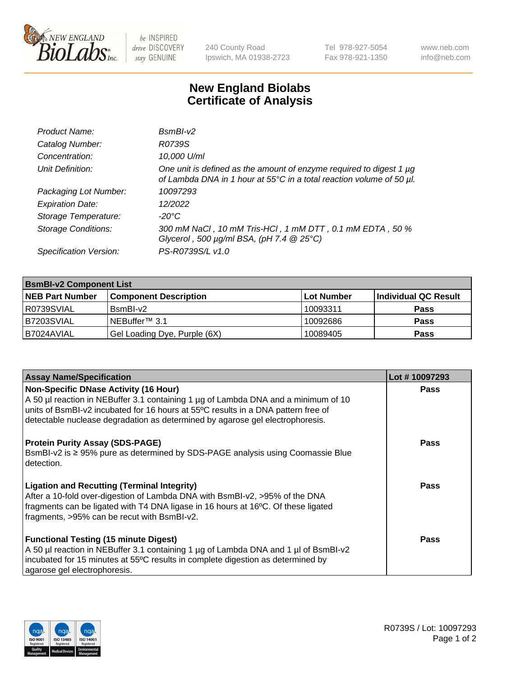

 $be$  INSPIRED drive DISCOVERY stay GENUINE

240 County Road Ipswich, MA 01938-2723 Tel 978-927-5054 Fax 978-921-1350 www.neb.com info@neb.com

## **New England Biolabs Certificate of Analysis**

| Product Name:              | $BsmBI-v2$                                                                                                                                  |
|----------------------------|---------------------------------------------------------------------------------------------------------------------------------------------|
| Catalog Number:            | R0739S                                                                                                                                      |
| Concentration:             | 10,000 U/ml                                                                                                                                 |
| Unit Definition:           | One unit is defined as the amount of enzyme required to digest 1 µg<br>of Lambda DNA in 1 hour at 55°C in a total reaction volume of 50 µl. |
| Packaging Lot Number:      | 10097293                                                                                                                                    |
| <b>Expiration Date:</b>    | 12/2022                                                                                                                                     |
| Storage Temperature:       | $-20^{\circ}$ C                                                                                                                             |
| <b>Storage Conditions:</b> | 300 mM NaCl, 10 mM Tris-HCl, 1 mM DTT, 0.1 mM EDTA, 50 %<br>Glycerol, 500 $\mu$ g/ml BSA, (pH 7.4 $@25°C$ )                                 |
| Specification Version:     | PS-R0739S/L v1.0                                                                                                                            |

| <b>BsmBI-v2 Component List</b> |                              |            |                      |  |  |
|--------------------------------|------------------------------|------------|----------------------|--|--|
| <b>NEB Part Number</b>         | <b>Component Description</b> | Lot Number | Individual QC Result |  |  |
| I R0739SVIAL                   | BsmBI-v2                     | 10093311   | <b>Pass</b>          |  |  |
| B7203SVIAL                     | INEBuffer™ 3.1               | 10092686   | <b>Pass</b>          |  |  |
| I B7024AVIAL                   | Gel Loading Dye, Purple (6X) | 10089405   | <b>Pass</b>          |  |  |

| <b>Assay Name/Specification</b>                                                                                                                                                                                                                          | Lot #10097293 |
|----------------------------------------------------------------------------------------------------------------------------------------------------------------------------------------------------------------------------------------------------------|---------------|
| <b>Non-Specific DNase Activity (16 Hour)</b>                                                                                                                                                                                                             | <b>Pass</b>   |
| A 50 µl reaction in NEBuffer 3.1 containing 1 µg of Lambda DNA and a minimum of 10<br>units of BsmBI-v2 incubated for 16 hours at 55°C results in a DNA pattern free of<br>detectable nuclease degradation as determined by agarose gel electrophoresis. |               |
| <b>Protein Purity Assay (SDS-PAGE)</b>                                                                                                                                                                                                                   | <b>Pass</b>   |
| BsmBI-v2 is ≥ 95% pure as determined by SDS-PAGE analysis using Coomassie Blue<br>detection.                                                                                                                                                             |               |
| <b>Ligation and Recutting (Terminal Integrity)</b>                                                                                                                                                                                                       | Pass          |
| After a 10-fold over-digestion of Lambda DNA with BsmBI-v2, >95% of the DNA                                                                                                                                                                              |               |
| fragments can be ligated with T4 DNA ligase in 16 hours at 16°C. Of these ligated                                                                                                                                                                        |               |
| fragments, >95% can be recut with BsmBI-v2.                                                                                                                                                                                                              |               |
| <b>Functional Testing (15 minute Digest)</b>                                                                                                                                                                                                             | <b>Pass</b>   |
| A 50 µl reaction in NEBuffer 3.1 containing 1 µg of Lambda DNA and 1 µl of BsmBI-v2                                                                                                                                                                      |               |
| incubated for 15 minutes at 55°C results in complete digestion as determined by                                                                                                                                                                          |               |
| agarose gel electrophoresis.                                                                                                                                                                                                                             |               |